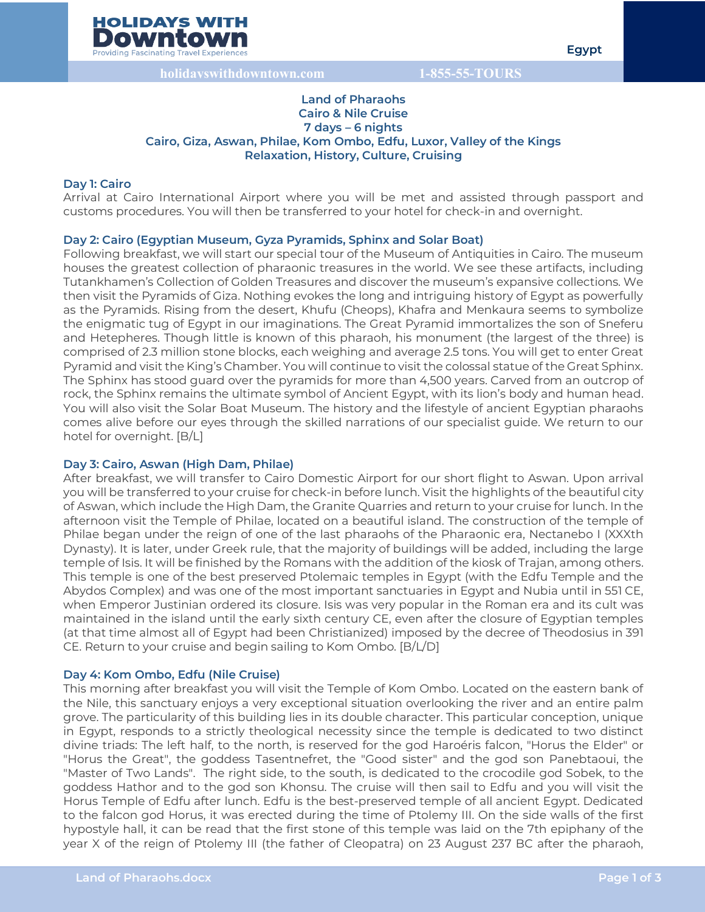

## **Land of Pharaohs Cairo & Nile Cruise 7 days – 6 nights Cairo, Giza, Aswan, Philae, Kom Ombo, Edfu, Luxor, Valley of the Kings Relaxation, History, Culture, Cruising**

### **Day 1: Cairo**

Arrival at Cairo International Airport where you will be met and assisted through passport and customs procedures. You will then be transferred to your hotel for check-in and overnight.

#### **Day 2: Cairo (Egyptian Museum, Gyza Pyramids, Sphinx and Solar Boat)**

Following breakfast, we will start our special tour of the Museum of Antiquities in Cairo. The museum houses the greatest collection of pharaonic treasures in the world. We see these artifacts, including Tutankhamen's Collection of Golden Treasures and discover the museum's expansive collections. We then visit the Pyramids of Giza. Nothing evokes the long and intriguing history of Egypt as powerfully as the Pyramids. Rising from the desert, Khufu (Cheops), Khafra and Menkaura seems to symbolize the enigmatic tug of Egypt in our imaginations. The Great Pyramid immortalizes the son of Sneferu and Hetepheres. Though little is known of this pharaoh, his monument (the largest of the three) is comprised of 2.3 million stone blocks, each weighing and average 2.5 tons. You will get to enter Great Pyramid and visit the King's Chamber. You will continue to visit the colossal statue of the Great Sphinx. The Sphinx has stood guard over the pyramids for more than 4,500 years. Carved from an outcrop of rock, the Sphinx remains the ultimate symbol of Ancient Egypt, with its lion's body and human head. You will also visit the Solar Boat Museum. The history and the lifestyle of ancient Egyptian pharaohs comes alive before our eyes through the skilled narrations of our specialist guide. We return to our hotel for overnight. [B/L]

#### **Day 3: Cairo, Aswan (High Dam, Philae)**

After breakfast, we will transfer to Cairo Domestic Airport for our short flight to Aswan. Upon arrival you will be transferred to your cruise for check-in before lunch. Visit the highlights of the beautiful city of Aswan, which include the High Dam, the Granite Quarries and return to your cruise for lunch. In the afternoon visit the Temple of Philae, located on a beautiful island. The construction of the temple of Philae began under the reign of one of the last pharaohs of the Pharaonic era, Nectanebo I (XXXth Dynasty). It is later, under Greek rule, that the majority of buildings will be added, including the large temple of Isis. It will be finished by the Romans with the addition of the kiosk of Trajan, among others. This temple is one of the best preserved Ptolemaic temples in Egypt (with the Edfu Temple and the Abydos Complex) and was one of the most important sanctuaries in Egypt and Nubia until in 551 CE, when Emperor Justinian ordered its closure. Isis was very popular in the Roman era and its cult was maintained in the island until the early sixth century CE, even after the closure of Egyptian temples (at that time almost all of Egypt had been Christianized) imposed by the decree of Theodosius in 391 CE. Return to your cruise and begin sailing to Kom Ombo. [B/L/D]

#### **Day 4: Kom Ombo, Edfu (Nile Cruise)**

This morning after breakfast you will visit the Temple of Kom Ombo. Located on the eastern bank of the Nile, this sanctuary enjoys a very exceptional situation overlooking the river and an entire palm grove. The particularity of this building lies in its double character. This particular conception, unique in Egypt, responds to a strictly theological necessity since the temple is dedicated to two distinct divine triads: The left half, to the north, is reserved for the god Haroéris falcon, "Horus the Elder" or "Horus the Great", the goddess Tasentnefret, the "Good sister" and the god son Panebtaoui, the "Master of Two Lands". The right side, to the south, is dedicated to the crocodile god Sobek, to the goddess Hathor and to the god son Khonsu. The cruise will then sail to Edfu and you will visit the Horus Temple of Edfu after lunch. Edfu is the best-preserved temple of all ancient Egypt. Dedicated to the falcon god Horus, it was erected during the time of Ptolemy III. On the side walls of the first hypostyle hall, it can be read that the first stone of this temple was laid on the 7th epiphany of the year X of the reign of Ptolemy III (the father of Cleopatra) on 23 August 237 BC after the pharaoh,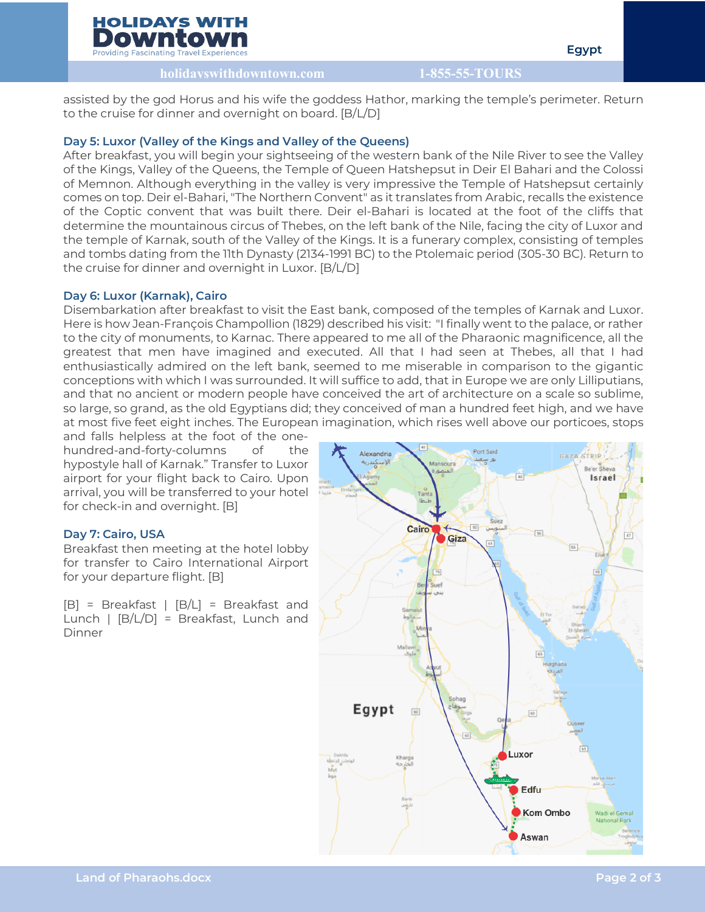## **HOLIDAYS WITH** Downtoy

**Providing Fascinating Travel Experienc** 

**Egypt**

**holidayswithdowntown.com 1-855-55-TOURS**

assisted by the god Horus and his wife the goddess Hathor, marking the temple's perimeter. Return to the cruise for dinner and overnight on board. [B/L/D]

# **Day 5: Luxor (Valley of the Kings and Valley of the Queens)**

After breakfast, you will begin your sightseeing of the western bank of the Nile River to see the Valley of the Kings, Valley of the Queens, the Temple of Queen Hatshepsut in Deir El Bahari and the Colossi of Memnon. Although everything in the valley is very impressive the Temple of Hatshepsut certainly comes on top. Deir el-Bahari, "The Northern Convent" as it translates from Arabic, recalls the existence of the Coptic convent that was built there. Deir el-Bahari is located at the foot of the cliffs that determine the mountainous circus of Thebes, on the left bank of the Nile, facing the city of Luxor and the temple of Karnak, south of the Valley of the Kings. It is a funerary complex, consisting of temples and tombs dating from the 11th Dynasty (2134-1991 BC) to the Ptolemaic period (305-30 BC). Return to the cruise for dinner and overnight in Luxor. [B/L/D]

## **Day 6: Luxor (Karnak), Cairo**

Disembarkation after breakfast to visit the East bank, composed of the temples of Karnak and Luxor. Here is how Jean-François Champollion (1829) described his visit: "I finally went to the palace, or rather to the city of monuments, to Karnac. There appeared to me all of the Pharaonic magnificence, all the greatest that men have imagined and executed. All that I had seen at Thebes, all that I had enthusiastically admired on the left bank, seemed to me miserable in comparison to the gigantic conceptions with which I was surrounded. It will suffice to add, that in Europe we are only Lilliputians, and that no ancient or modern people have conceived the art of architecture on a scale so sublime, so large, so grand, as the old Egyptians did; they conceived of man a hundred feet high, and we have at most five feet eight inches. The European imagination, which rises well above our porticoes, stops

and falls helpless at the foot of the onehundred-and-forty-columns of the hypostyle hall of Karnak." Transfer to Luxor airport for your flight back to Cairo. Upon arrival, you will be transferred to your hotel for check-in and overnight. [B]

# **Day 7: Cairo, USA**

Breakfast then meeting at the hotel lobby for transfer to Cairo International Airport for your departure flight. [B]

[B] = Breakfast | [B/L] = Breakfast and Lunch | [B/L/D] = Breakfast, Lunch and Dinner